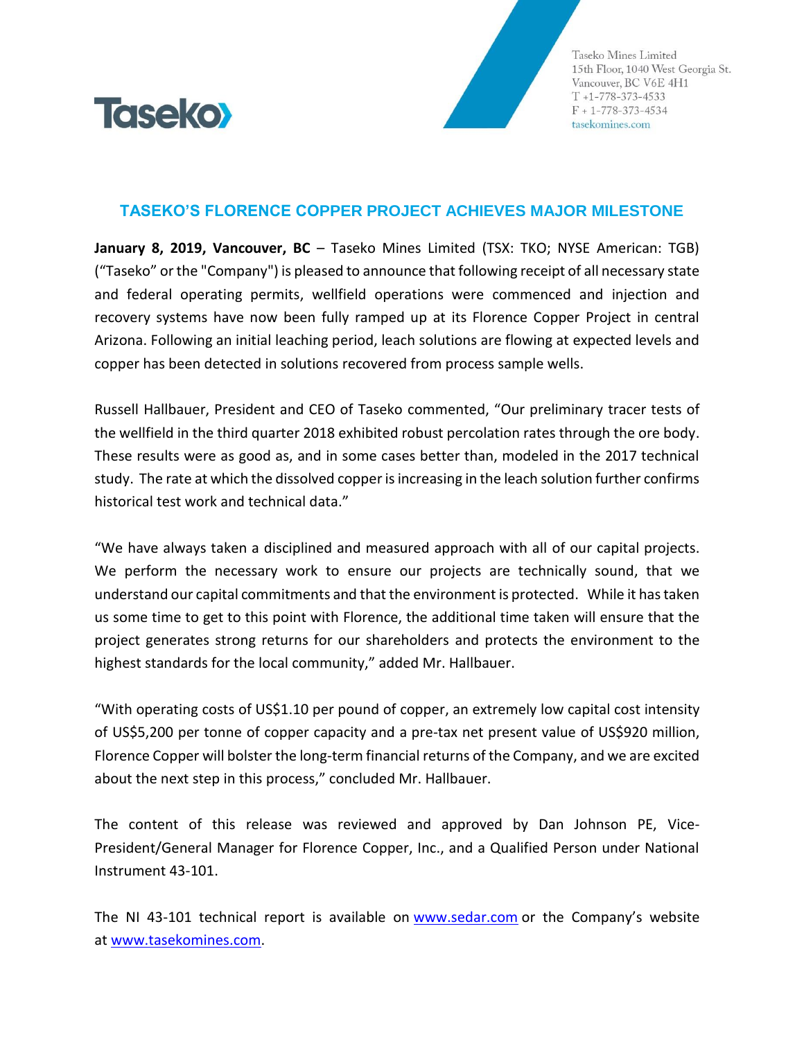

Taseko Mines Limited 15th Floor, 1040 West Georgia St. Vancouver, BC V6E 4H1  $T + 1 - 778 - 373 - 4533$  $F + 1 - 778 - 373 - 4534$ tasekomines.com

## **TASEKO'S FLORENCE COPPER PROJECT ACHIEVES MAJOR MILESTONE**

**January 8, 2019, Vancouver, BC** – Taseko Mines Limited (TSX: TKO; NYSE American: TGB) ("Taseko" or the "Company") is pleased to announce that following receipt of all necessary state and federal operating permits, wellfield operations were commenced and injection and recovery systems have now been fully ramped up at its Florence Copper Project in central Arizona. Following an initial leaching period, leach solutions are flowing at expected levels and copper has been detected in solutions recovered from process sample wells.

Russell Hallbauer, President and CEO of Taseko commented, "Our preliminary tracer tests of the wellfield in the third quarter 2018 exhibited robust percolation rates through the ore body. These results were as good as, and in some cases better than, modeled in the 2017 technical study. The rate at which the dissolved copper is increasing in the leach solution further confirms historical test work and technical data."

"We have always taken a disciplined and measured approach with all of our capital projects. We perform the necessary work to ensure our projects are technically sound, that we understand our capital commitments and that the environment is protected. While it has taken us some time to get to this point with Florence, the additional time taken will ensure that the project generates strong returns for our shareholders and protects the environment to the highest standards for the local community," added Mr. Hallbauer.

"With operating costs of US\$1.10 per pound of copper, an extremely low capital cost intensity of US\$5,200 per tonne of copper capacity and a pre-tax net present value of US\$920 million, Florence Copper will bolster the long-term financial returns of the Company, and we are excited about the next step in this process," concluded Mr. Hallbauer.

The content of this release was reviewed and approved by Dan Johnson PE, Vice-President/General Manager for Florence Copper, Inc., and a Qualified Person under National Instrument 43-101.

The NI 43-101 technical report is available on [www.sedar.com](http://www.sedar.com/) or the Company's website at [www.tasekomines.com.](http://www.tasekomines.com/)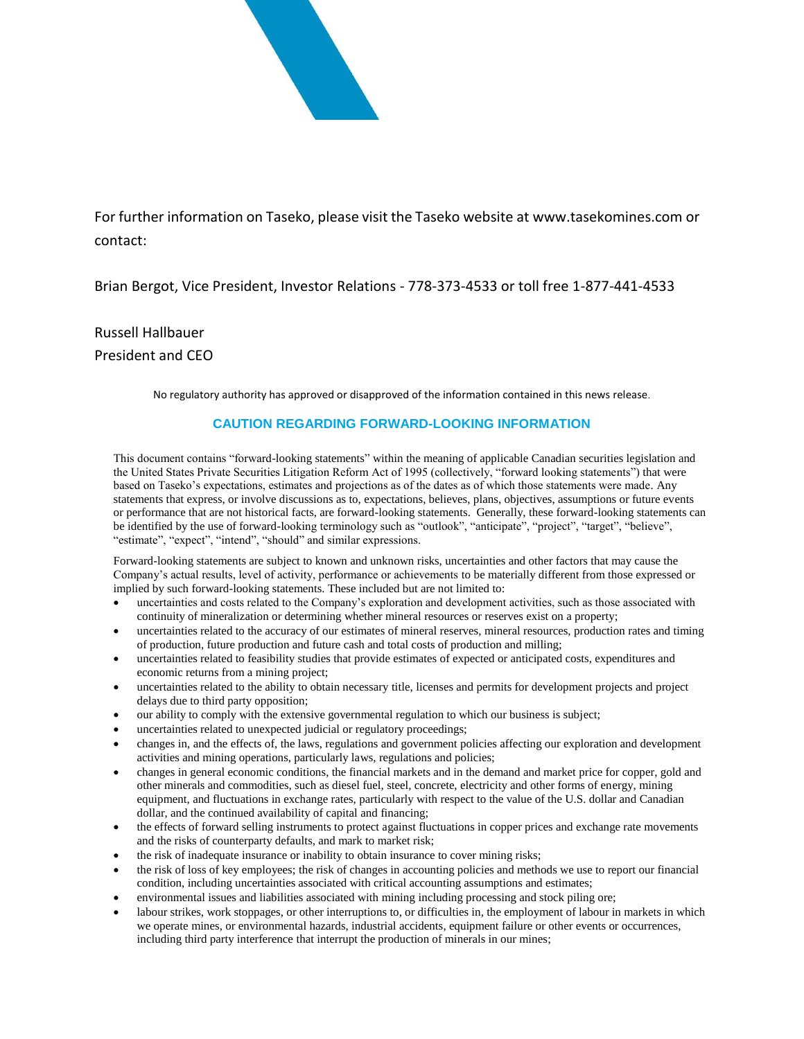

For further information on Taseko, please visit the Taseko website a[t www.tasekomines.com](http://www.tasekomines.com/) or contact:

Brian Bergot, Vice President, Investor Relations - 778-373-4533 or toll free 1-877-441-4533

Russell Hallbauer President and CEO

No regulatory authority has approved or disapproved of the information contained in this news release.

## **CAUTION REGARDING FORWARD-LOOKING INFORMATION**

This document contains "forward-looking statements" within the meaning of applicable Canadian securities legislation and the United States Private Securities Litigation Reform Act of 1995 (collectively, "forward looking statements") that were based on Taseko's expectations, estimates and projections as of the dates as of which those statements were made. Any statements that express, or involve discussions as to, expectations, believes, plans, objectives, assumptions or future events or performance that are not historical facts, are forward-looking statements. Generally, these forward-looking statements can be identified by the use of forward-looking terminology such as "outlook", "anticipate", "project", "target", "believe", "estimate", "expect", "intend", "should" and similar expressions.

Forward-looking statements are subject to known and unknown risks, uncertainties and other factors that may cause the Company's actual results, level of activity, performance or achievements to be materially different from those expressed or implied by such forward-looking statements. These included but are not limited to:

- uncertainties and costs related to the Company's exploration and development activities, such as those associated with continuity of mineralization or determining whether mineral resources or reserves exist on a property;
- uncertainties related to the accuracy of our estimates of mineral reserves, mineral resources, production rates and timing of production, future production and future cash and total costs of production and milling;
- uncertainties related to feasibility studies that provide estimates of expected or anticipated costs, expenditures and economic returns from a mining project;
- uncertainties related to the ability to obtain necessary title, licenses and permits for development projects and project delays due to third party opposition;
- our ability to comply with the extensive governmental regulation to which our business is subject;
- uncertainties related to unexpected judicial or regulatory proceedings;
- changes in, and the effects of, the laws, regulations and government policies affecting our exploration and development activities and mining operations, particularly laws, regulations and policies;
- changes in general economic conditions, the financial markets and in the demand and market price for copper, gold and other minerals and commodities, such as diesel fuel, steel, concrete, electricity and other forms of energy, mining equipment, and fluctuations in exchange rates, particularly with respect to the value of the U.S. dollar and Canadian dollar, and the continued availability of capital and financing;
- the effects of forward selling instruments to protect against fluctuations in copper prices and exchange rate movements and the risks of counterparty defaults, and mark to market risk;
- the risk of inadequate insurance or inability to obtain insurance to cover mining risks;
- the risk of loss of key employees; the risk of changes in accounting policies and methods we use to report our financial condition, including uncertainties associated with critical accounting assumptions and estimates;
- environmental issues and liabilities associated with mining including processing and stock piling ore;
- labour strikes, work stoppages, or other interruptions to, or difficulties in, the employment of labour in markets in which we operate mines, or environmental hazards, industrial accidents, equipment failure or other events or occurrences, including third party interference that interrupt the production of minerals in our mines;